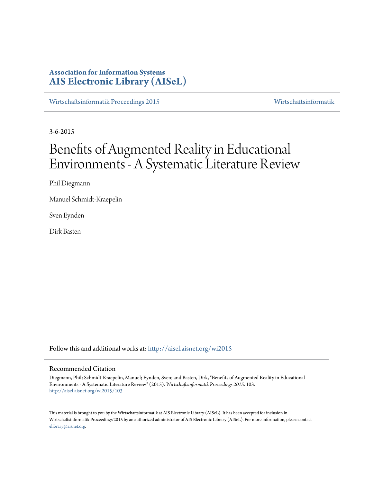# **Association for Information Systems [AIS Electronic Library \(AISeL\)](http://aisel.aisnet.org?utm_source=aisel.aisnet.org%2Fwi2015%2F103&utm_medium=PDF&utm_campaign=PDFCoverPages)**

[Wirtschaftsinformatik Proceedings 2015](http://aisel.aisnet.org/wi2015?utm_source=aisel.aisnet.org%2Fwi2015%2F103&utm_medium=PDF&utm_campaign=PDFCoverPages) [Wirtschaftsinformatik](http://aisel.aisnet.org/wi?utm_source=aisel.aisnet.org%2Fwi2015%2F103&utm_medium=PDF&utm_campaign=PDFCoverPages)

3-6-2015

# Benefits of Augmented Reality in Educational Environments - A Systematic Literature Review

Phil Diegmann

Manuel Schmidt-Kraepelin

Sven Eynden

Dirk Basten

Follow this and additional works at: [http://aisel.aisnet.org/wi2015](http://aisel.aisnet.org/wi2015?utm_source=aisel.aisnet.org%2Fwi2015%2F103&utm_medium=PDF&utm_campaign=PDFCoverPages)

# Recommended Citation

Diegmann, Phil; Schmidt-Kraepelin, Manuel; Eynden, Sven; and Basten, Dirk, "Benefits of Augmented Reality in Educational Environments - A Systematic Literature Review" (2015). *Wirtschaftsinformatik Proceedings 2015*. 103. [http://aisel.aisnet.org/wi2015/103](http://aisel.aisnet.org/wi2015/103?utm_source=aisel.aisnet.org%2Fwi2015%2F103&utm_medium=PDF&utm_campaign=PDFCoverPages)

This material is brought to you by the Wirtschaftsinformatik at AIS Electronic Library (AISeL). It has been accepted for inclusion in Wirtschaftsinformatik Proceedings 2015 by an authorized administrator of AIS Electronic Library (AISeL). For more information, please contact [elibrary@aisnet.org.](mailto:elibrary@aisnet.org%3E)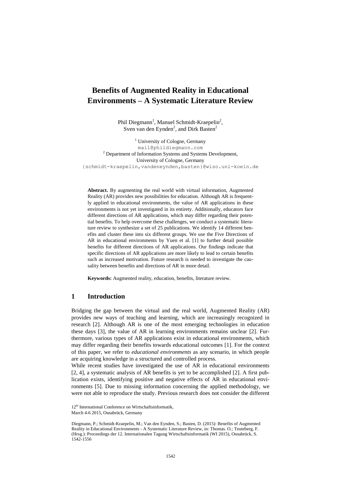# **Benefits of Augmented Reality in Educational Environments – A Systematic Literature Review**

Phil Diegmann<sup>1</sup>, Manuel Schmidt-Kraepelin<sup>2</sup>, Sven van den Eynden<sup>2</sup>, and Dirk Basten<sup>2</sup>

<sup>1</sup> University of Cologne, Germany [mail@phildiegmann.com](mailto:mail@phildiegmann.com) <sup>2</sup> Department of Information Systems and Systems Development, University of Cologne, Germany {schmidt-kraepelin,vandeneynden,basten}@wiso.uni-koeln.de

**Abstract.** By augmenting the real world with virtual information, Augmented Reality (AR) provides new possibilities for education. Although AR is frequently applied in educational environments, the value of AR applications in these environments is not yet investigated in its entirety. Additionally, educators face different directions of AR applications, which may differ regarding their potential benefits. To help overcome these challenges, we conduct a systematic literature review to synthesize a set of 25 publications. We identify 14 different benefits and cluster these into six different groups. We use the Five Directions of AR in educational environments by Yuen et al. [1] to further detail possible benefits for different directions of AR applications. Our findings indicate that specific directions of AR applications are more likely to lead to certain benefits such as increased motivation. Future research is needed to investigate the causality between benefits and directions of AR in more detail.

**Keywords:** Augmented reality, education, benefits, literature review.

# **1 Introduction**

Bridging the gap between the virtual and the real world, Augmented Reality (AR) provides new ways of teaching and learning, which are increasingly recognized in research [2]. Although AR is one of the most emerging technologies in education these days [3], the value of AR in learning environments remains unclear [2]. Furthermore, various types of AR applications exist in educational environments, which may differ regarding their benefits towards educational outcomes [1]. For the context of this paper, we refer to *educational environments* as any scenario, in which people are acquiring knowledge in a structured and controlled process.

While recent studies have investigated the use of AR in educational environments [2, 4], a systematic analysis of AR benefits is yet to be accomplished [2]. A first publication exists, identifying positive and negative effects of AR in educational environments [5]. Due to missing information concerning the applied methodology, we were not able to reproduce the study. Previous research does not consider the different

<sup>12&</sup>lt;sup>th</sup> International Conference on Wirtschaftsinformatik.

March 4-6 2015, Osnabrück, Germany

Diegmann, P.; Schmidt-Kraepelin, M.; Van den Eynden, S.; Basten, D. (2015): Benefits of Augmented Reality in Educational Environments - A Systematic Literature Review, in: Thomas. O.; Teuteberg, F. (Hrsg.): Proceedings der 12. Internationalen Tagung Wirtschaftsinformatik (WI 2015), Osnabrück, S. 1542-1556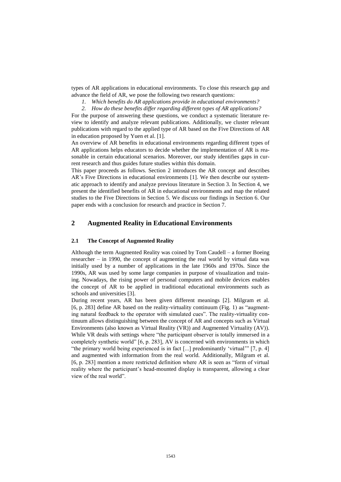types of AR applications in educational environments. To close this research gap and advance the field of AR, we pose the following two research questions:

- *1. Which benefits do AR applications provide in educational environments?*
- *2. How do these benefits differ regarding different types of AR applications?*

For the purpose of answering these questions, we conduct a systematic literature review to identify and analyze relevant publications. Additionally, we cluster relevant publications with regard to the applied type of AR based on the Five Directions of AR in education proposed by Yuen et al. [1].

An overview of AR benefits in educational environments regarding different types of AR applications helps educators to decide whether the implementation of AR is reasonable in certain educational scenarios. Moreover, our study identifies gaps in current research and thus guides future studies within this domain.

This paper proceeds as follows. Section 2 introduces the AR concept and describes AR's Five Directions in educational environments [1]. We then describe our systematic approach to identify and analyze previous literature in Section 3. In Section 4, we present the identified benefits of AR in educational environments and map the related studies to the Five Directions in Section 5. We discuss our findings in Section 6. Our paper ends with a conclusion for research and practice in Section 7.

# **2 Augmented Reality in Educational Environments**

#### **2.1 The Concept of Augmented Reality**

Although the term Augmented Reality was coined by Tom Caudell – a former Boeing researcher – in 1990, the concept of augmenting the real world by virtual data was initially used by a number of applications in the late 1960s and 1970s. Since the 1990s, AR was used by some large companies in purpose of visualization and training. Nowadays, the rising power of personal computers and mobile devices enables the concept of AR to be applied in traditional educational environments such as schools and universities [3].

During recent years, AR has been given different meanings [2]. Milgram et al. [6, p. 283] define AR based on the reality-virtuality continuum [\(Fig. 1\)](#page-3-0) as "augmenting natural feedback to the operator with simulated cues". The reality-virtuality continuum allows distinguishing between the concept of AR and concepts such as Virtual Environments (also known as Virtual Reality (VR)) and Augmented Virtuality (AV)). While VR deals with settings where "the participant observer is totally immersed in a completely synthetic world" [6, p. 283], AV is concerned with environments in which "the primary world being experienced is in fact [...] predominantly 'virtual'" [7, p. 4] and augmented with information from the real world. Additionally, Milgram et al. [6, p. 283] mention a more restricted definition where AR is seen as "form of virtual reality where the participant's head-mounted display is transparent, allowing a clear view of the real world".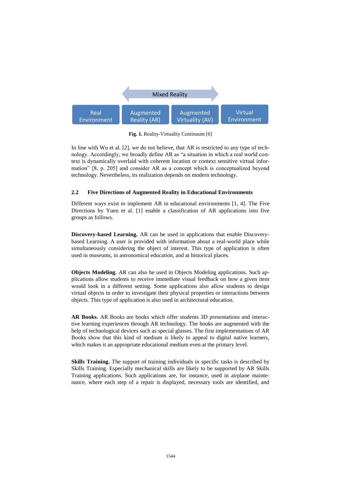

**Fig. 1.** Reality-Virtuality Continuum [6]

<span id="page-3-0"></span>In line with Wu et al. [2], we do not believe, that AR is restricted to any type of technology. Accordingly, we broadly define AR as "a situation in which a real world context is dynamically overlaid with coherent location or context sensitive virtual information" [8, p. 205] and consider AR as a concept which is conceptualized beyond technology. Nevertheless, its realization depends on modern technology.

## **2.2 Five Directions of Augmented Reality in Educational Environments**

Different ways exist to implement AR in educational environments [1, 4]. The Five Directions by Yuen et al. [1] enable a classification of AR applications into five groups as follows.

**Discovery-based Learning.** AR can be used in applications that enable Discoverybased Learning. A user is provided with information about a real-world place while simultaneously considering the object of interest. This type of application is often used in museums, in astronomical education, and at historical places.

**Objects Modeling.** AR can also be used in Objects Modeling applications. Such applications allow students to receive immediate visual feedback on how a given item would look in a different setting. Some applications also allow students to design virtual objects in order to investigate their physical properties or interactions between objects. This type of application is also used in architectural education.

**AR Books.** AR Books are books which offer students 3D presentations and interactive learning experiences through AR technology. The books are augmented with the help of technological devices such as special glasses. The first implementations of AR Books show that this kind of medium is likely to appeal to digital native learners, which makes it an appropriate educational medium even at the primary level.

**Skills Training.** The support of training individuals in specific tasks is described by Skills Training. Especially mechanical skills are likely to be supported by AR Skills Training applications. Such applications are, for instance, used in airplane maintenance, where each step of a repair is displayed, necessary tools are identified, and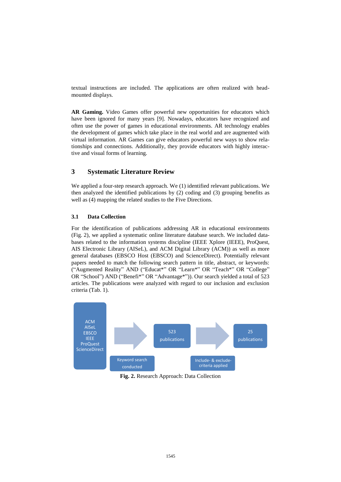textual instructions are included. The applications are often realized with headmounted displays.

**AR Gaming.** Video Games offer powerful new opportunities for educators which have been ignored for many years [9]. Nowadays, educators have recognized and often use the power of games in educational environments. AR technology enables the development of games which take place in the real world and are augmented with virtual information. AR Games can give educators powerful new ways to show relationships and connections. Additionally, they provide educators with highly interactive and visual forms of learning.

# **3 Systematic Literature Review**

We applied a four-step research approach. We (1) identified relevant publications. We then analyzed the identified publications by (2) coding and (3) grouping benefits as well as (4) mapping the related studies to the Five Directions.

# **3.1 Data Collection**

For the identification of publications addressing AR in educational environments (Fig. 2), we applied a systematic online literature database search. We included databases related to the information systems discipline (IEEE Xplore (IEEE), ProQuest, AIS Electronic Library (AISeL), and ACM Digital Library (ACM)) as well as more general databases (EBSCO Host (EBSCO) and ScienceDirect). Potentially relevant papers needed to match the following search pattern in title, abstract, or keywords: ("Augmented Reality" AND ("Educat\*" OR "Learn\*" OR "Teach\*" OR "College" OR "School") AND ("Benefi\*" OR "Advantage\*")). Our search yielded a total of 523 articles. The publications were analyzed with regard to our inclusion and exclusion criteria (Tab. 1).



**Fig. 2.** Research Approach: Data Collection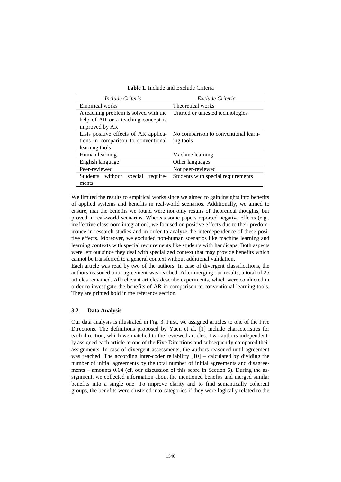| <b>Table 1.</b> Include and Exclude Criteria |  |
|----------------------------------------------|--|
|                                              |  |

| Include Criteria                        | Exclude Criteria                     |  |  |  |  |
|-----------------------------------------|--------------------------------------|--|--|--|--|
| <b>Empirical works</b>                  | Theoretical works                    |  |  |  |  |
| A teaching problem is solved with the   | Untried or untested technologies     |  |  |  |  |
| help of AR or a teaching concept is     |                                      |  |  |  |  |
| improved by AR                          |                                      |  |  |  |  |
| Lists positive effects of AR applica-   | No comparison to conventional learn- |  |  |  |  |
| tions in comparison to conventional     | ing tools                            |  |  |  |  |
| learning tools                          |                                      |  |  |  |  |
| Human learning                          | Machine learning                     |  |  |  |  |
| English language                        | Other languages                      |  |  |  |  |
| Peer-reviewed                           | Not peer-reviewed                    |  |  |  |  |
| Students without<br>special<br>require- | Students with special requirements   |  |  |  |  |
| ments                                   |                                      |  |  |  |  |

We limited the results to empirical works since we aimed to gain insights into benefits of applied systems and benefits in real-world scenarios. Additionally, we aimed to ensure, that the benefits we found were not only results of theoretical thoughts, but proved in real-world scenarios. Whereas some papers reported negative effects (e.g., ineffective classroom integration), we focused on positive effects due to their predominance in research studies and in order to analyze the interdependence of these positive effects. Moreover, we excluded non-human scenarios like machine learning and learning contexts with special requirements like students with handicaps. Both aspects were left out since they deal with specialized context that may provide benefits which cannot be transferred to a general context without additional validation.

Each article was read by two of the authors. In case of divergent classifications, the authors reasoned until agreement was reached. After merging our results, a total of 25 articles remained. All relevant articles describe experiments, which were conducted in order to investigate the benefits of AR in comparison to conventional learning tools. They are printed bold in the reference section.

# **3.2 Data Analysis**

Our data analysis is illustrated in [Fig. 3.](#page-6-0) First, we assigned articles to one of the Five Directions. The definitions proposed by Yuen et al. [1] include characteristics for each direction, which we matched to the reviewed articles. Two authors independently assigned each article to one of the Five Directions and subsequently compared their assignments. In case of divergent assessments, the authors reasoned until agreement was reached. The according inter-coder reliability  $[10]$  – calculated by dividing the number of initial agreements by the total number of initial agreements and disagreements – amounts 0.64 (cf. our discussion of this score in Section 6). During the assignment, we collected information about the mentioned benefits and merged similar benefits into a single one. To improve clarity and to find semantically coherent groups, the benefits were clustered into categories if they were logically related to the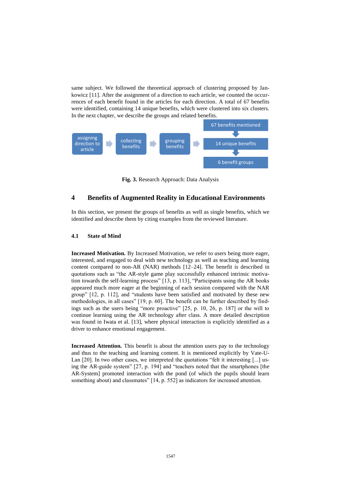same subject. We followed the theoretical approach of clustering proposed by Jankowicz [11]. After the assignment of a direction to each article, we counted the occurrences of each benefit found in the articles for each direction. A total of 67 benefits were identified, containing 14 unique benefits, which were clustered into six clusters. In the next chapter, we describe the groups and related benefits.



**Fig. 3.** Research Approach: Data Analysis

# <span id="page-6-0"></span>**4 Benefits of Augmented Reality in Educational Environments**

In this section, we present the groups of benefits as well as single benefits, which we identified and describe them by citing examples from the reviewed literature.

#### **4.1 State of Mind**

**Increased Motivation.** By Increased Motivation, we refer to users being more eager, interested, and engaged to deal with new technology as well as teaching and learning content compared to non-AR (NAR) methods [12–24]. The benefit is described in quotations such as "the AR-style game play successfully enhanced intrinsic motivation towards the self-learning process" [13, p. 113], "Participants using the AR books appeared much more eager at the beginning of each session compared with the NAR group" [12, p. 112], and "students have been satisfied and motivated by these new methodologies, in all cases" [19, p. 60]. The benefit can be further described by findings such as the users being "more proactive" [25, p. 10, 26, p. 187] or the will to continue learning using the AR technology after class. A more detailed description was found in Iwata et al. [13], where physical interaction is explicitly identified as a driver to enhance emotional engagement.

**Increased Attention.** This benefit is about the attention users pay to the technology and thus to the teaching and learning content. It is mentioned explicitly by Vate-U-Lan [20]. In two other cases, we interpreted the quotations "felt it interesting [...] using the AR-guide system" [27, p. 194] and "teachers noted that the smartphones [the AR-System] promoted interaction with the pond (of which the pupils should learn something about) and classmates" [14, p. 552] as indicators for increased attention.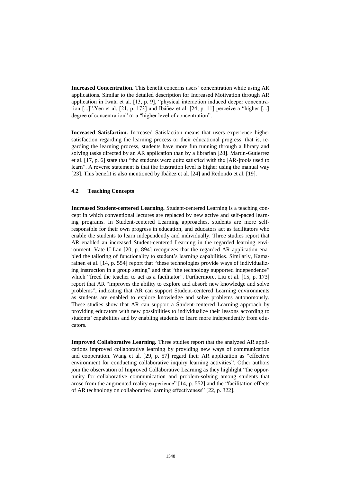**Increased Concentration.** This benefit concerns users' concentration while using AR applications. Similar to the detailed description for Increased Motivation through AR application in Iwata et al. [13, p. 9], "physical interaction induced deeper concentration [...]".Yen et al. [21, p. 173] and Ibáñez et al. [24, p. 11] perceive a "higher [...] degree of concentration" or a "higher level of concentration".

**Increased Satisfaction.** Increased Satisfaction means that users experience higher satisfaction regarding the learning process or their educational progress, that is, regarding the learning process, students have more fun running through a library and solving tasks directed by an AR application than by a librarian [28]. Martín-Gutíerrez et al. [17, p. 6] state that "the students were quite satisfied with the [AR-]tools used to learn". A reverse statement is that the frustration level is higher using the manual way [23]. This benefit is also mentioned by Ibáñez et al. [24] and Redondo et al. [19].

# **4.2 Teaching Concepts**

**Increased Student-centered Learning.** Student-centered Learning is a teaching concept in which conventional lectures are replaced by new active and self-paced learning programs. In Student-centered Learning approaches, students are more selfresponsible for their own progress in education, and educators act as facilitators who enable the students to learn independently and individually. Three studies report that AR enabled an increased Student-centered Learning in the regarded learning environment. Vate-U-Lan [20, p. 894] recognizes that the regarded AR application enabled the tailoring of functionality to student's learning capabilities. Similarly, Kamarainen et al. [14, p. 554] report that "these technologies provide ways of individualizing instruction in a group setting" and that "the technology supported independence" which "freed the teacher to act as a facilitator". Furthermore, Liu et al. [15, p. 173] report that AR "improves the ability to explore and absorb new knowledge and solve problems", indicating that AR can support Student-centered Learning environments as students are enabled to explore knowledge and solve problems autonomously. These studies show that AR can support a Student-centered Learning approach by providing educators with new possibilities to individualize their lessons according to students' capabilities and by enabling students to learn more independently from educators.

**Improved Collaborative Learning.** Three studies report that the analyzed AR applications improved collaborative learning by providing new ways of communication and cooperation. Wang et al. [29, p. 57] regard their AR application as "effective environment for conducting collaborative inquiry learning activities". Other authors join the observation of Improved Collaborative Learning as they highlight "the opportunity for collaborative communication and problem-solving among students that arose from the augmented reality experience" [14, p. 552] and the "facilitation effects of AR technology on collaborative learning effectiveness" [22, p. 322].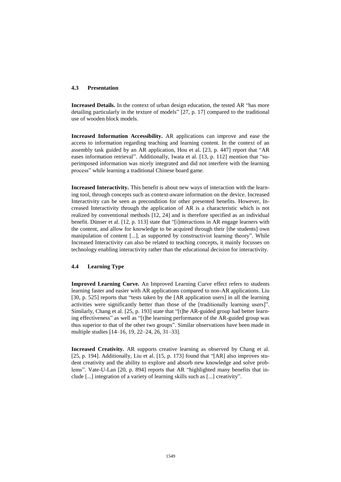#### **4.3 Presentation**

**Increased Details.** In the context of urban design education, the tested AR "has more detailing particularly in the texture of models" [27, p. 17] compared to the traditional use of wooden block models.

**Increased Information Accessibility.** AR applications can improve and ease the access to information regarding teaching and learning content. In the context of an assembly task guided by an AR application, Hou et al. [23, p. 447] report that "AR eases information retrieval". Additionally, Iwata et al. [13, p. 112] mention that "superimposed information was nicely integrated and did not interfere with the learning process" while learning a traditional Chinese board game.

**Increased Interactivity.** This benefit is about new ways of interaction with the learning tool, through concepts such as context-aware information on the device. Increased Interactivity can be seen as precondition for other presented benefits. However, Increased Interactivity through the application of AR is a characteristic which is not realized by conventional methods [12, 24] and is therefore specified as an individual benefit. Dünser et al. [12, p. 113] state that "[i]nteractions in AR engage learners with the content, and allow for knowledge to be acquired through their [the students] own manipulation of content [...], as supported by constructivist learning theory". While Increased Interactivity can also be related to teaching concepts, it mainly focusses on technology enabling interactivity rather than the educational decision for interactivity.

# **4.4 Learning Type**

**Improved Learning Curve.** An Improved Learning Curve effect refers to students learning faster and easier with AR applications compared to non-AR applications. Liu [30, p. 525] reports that "tests taken by the [AR application users] in all the learning activities were significantly better than those of the [traditionally learning users]". Similarly, Chang et al. [25, p. 193] state that "[t]he AR-guided group had better learning effectiveness" as well as "[t]he learning performance of the AR-guided group was thus superior to that of the other two groups". Similar observations have been made in multiple studies [14–16, 19, 22–24, 26, 31–33].

**Increased Creativity.** AR supports creative learning as observed by Chang et al. [25, p. 194]. Additionally, Liu et al. [15, p. 173] found that "[AR] also improves student creativity and the ability to explore and absorb new knowledge and solve problems". Vate-U-Lan [20, p. 894] reports that AR "highlighted many benefits that include [...] integration of a variety of learning skills such as [...] creativity".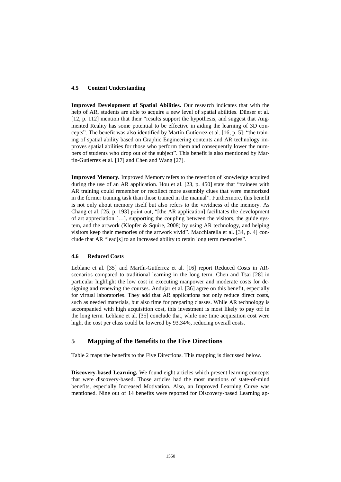#### **4.5 Content Understanding**

**Improved Development of Spatial Abilities.** Our research indicates that with the help of AR, students are able to acquire a new level of spatial abilities. Dünser et al. [12, p. 112] mention that their "results support the hypothesis, and suggest that Augmented Reality has some potential to be effective in aiding the learning of 3D concepts". The benefit was also identified by Martín-Gutíerrez et al. [16, p. 5]: "the training of spatial ability based on Graphic Engineering contents and AR technology improves spatial abilities for those who perform them and consequently lower the numbers of students who drop out of the subject". This benefit is also mentioned by Martín-Gutíerrez et al. [17] and Chen and Wang [27].

**Improved Memory.** Improved Memory refers to the retention of knowledge acquired during the use of an AR application. Hou et al. [23, p. 450] state that "trainees with AR training could remember or recollect more assembly clues that were memorized in the former training task than those trained in the manual". Furthermore, this benefit is not only about memory itself but also refers to the vividness of the memory. As Chang et al. [25, p. 193] point out, "[the AR application] facilitates the development of art appreciation […], supporting the coupling between the visitors, the guide system, and the artwork (Klopfer & Squire, 2008) by using AR technology, and helping visitors keep their memories of the artwork vivid". Macchiarella et al. [34, p. 4] conclude that AR "lead[s] to an increased ability to retain long term memories".

#### **4.6 Reduced Costs**

Leblanc et al. [35] and Martín-Gutíerrez et al. [16] report Reduced Costs in ARscenarios compared to traditional learning in the long term. Chen and Tsai [28] in particular highlight the low cost in executing manpower and moderate costs for designing and renewing the courses. Andujar et al. [36] agree on this benefit, especially for virtual laboratories. They add that AR applications not only reduce direct costs, such as needed materials, but also time for preparing classes. While AR technology is accompanied with high acquisition cost, this investment is most likely to pay off in the long term. Leblanc et al. [35] conclude that, while one time acquisition cost were high, the cost per class could be lowered by 93.34%, reducing overall costs.

# **5 Mapping of the Benefits to the Five Directions**

Table 2 maps the benefits to the Five Directions. This mapping is discussed below.

**Discovery-based Learning.** We found eight articles which present learning concepts that were discovery-based. Those articles had the most mentions of state-of-mind benefits, especially Increased Motivation. Also, an Improved Learning Curve was mentioned. Nine out of 14 benefits were reported for Discovery-based Learning ap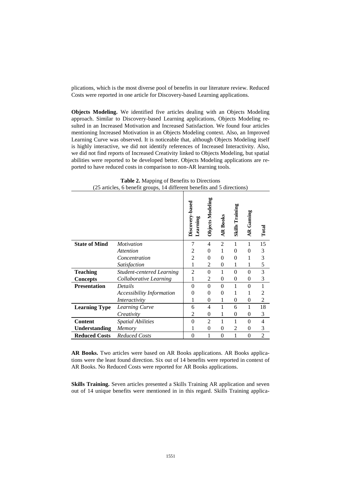plications, which is the most diverse pool of benefits in our literature review. Reduced Costs were reported in one article for Discovery-based Learning applications.

**Objects Modeling.** We identified five articles dealing with an Objects Modeling approach. Similar to Discovery-based Learning applications, Objects Modeling resulted in an Increased Motivation and Increased Satisfaction. We found four articles mentioning Increased Motivation in an Objects Modeling context. Also, an Improved Learning Curve was observed. It is noticeable that, although Objects Modeling itself is highly interactive, we did not identify references of Increased Interactivity. Also, we did not find reports of Increased Creativity linked to Objects Modeling, but spatial abilities were reported to be developed better. Objects Modeling applications are reported to have reduced costs in comparison to non-AR learning tools.

**Table 2.** Mapping of Benefits to Directions (25 articles, 6 benefit groups, 14 different benefits and 5 directions)

|                      |                                  | Discovery-based<br>Learning | Objects Modeling | <b>AR Books</b> | <b>Skills Training</b> | <b>AR</b> Gaming | Total          |
|----------------------|----------------------------------|-----------------------------|------------------|-----------------|------------------------|------------------|----------------|
| <b>State of Mind</b> | <i>Motivation</i>                | 7                           | 4                | $\overline{2}$  | 1                      | 1                | 15             |
|                      | <b>Attention</b>                 | 2                           | $\theta$         | 1               | $\theta$               | 0                | 3              |
|                      | Concentration                    | 2                           | $\theta$         | $\theta$        | $\theta$               | 1                | 3              |
|                      | Satisfaction                     | 1                           | $\overline{2}$   | $\theta$        | 1                      | 1                | 5              |
| <b>Teaching</b>      | <b>Student-centered Learning</b> | $\overline{2}$              | $\theta$         | 1               | $\theta$               | $\theta$         | 3              |
| <b>Concepts</b>      | Collaborative Learning           | 1                           | 2                | $\Omega$        | $\theta$               | $\theta$         | 3              |
| <b>Presentation</b>  | Details                          | $\theta$                    | $\Omega$         | 0               |                        | $\theta$         | 1              |
|                      | <b>Accessibility Information</b> | 0                           | $\theta$         | $\Omega$        | 1                      | 1                | 2              |
|                      | Interactivity                    | 1                           | $\theta$         | 1               | $\theta$               | $\overline{0}$   | 2              |
| <b>Learning Type</b> | Learning Curve                   | 6                           | 4                | 1               | 6                      | 1                | 18             |
|                      | Creativity                       | 2                           | $\theta$         | 1               | $\theta$               | 0                | 3              |
| <b>Content</b>       | <b>Spatial Abilities</b>         | $\overline{0}$              | $\overline{c}$   | 1               |                        | $\theta$         | 4              |
| <b>Understanding</b> | Memory                           | 1                           | $\theta$         | $\theta$        | $\overline{c}$         | $\theta$         | 3              |
| <b>Reduced Costs</b> | <b>Reduced Costs</b>             | $\theta$                    | 1                | $\theta$        | 1                      | $\theta$         | $\overline{2}$ |

**AR Books.** Two articles were based on AR Books applications. AR Books applications were the least found direction. Six out of 14 benefits were reported in context of AR Books. No Reduced Costs were reported for AR Books applications.

**Skills Training.** Seven articles presented a Skills Training AR application and seven out of 14 unique benefits were mentioned in in this regard. Skills Training applica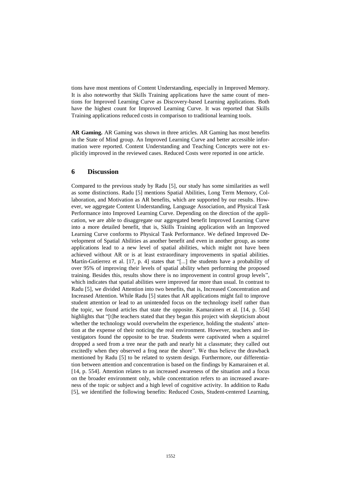tions have most mentions of Content Understanding, especially in Improved Memory. It is also noteworthy that Skills Training applications have the same count of mentions for Improved Learning Curve as Discovery-based Learning applications. Both have the highest count for Improved Learning Curve. It was reported that Skills Training applications reduced costs in comparison to traditional learning tools.

**AR Gaming.** AR Gaming was shown in three articles. AR Gaming has most benefits in the State of Mind group. An Improved Learning Curve and better accessible information were reported. Content Understanding and Teaching Concepts were not explicitly improved in the reviewed cases. Reduced Costs were reported in one article.

# **6 Discussion**

Compared to the previous study by Radu [5], our study has some similarities as well as some distinctions. Radu [5] mentions Spatial Abilities, Long Term Memory, Collaboration, and Motivation as AR benefits, which are supported by our results. However, we aggregate Content Understanding, Language Association, and Physical Task Performance into Improved Learning Curve. Depending on the direction of the application, we are able to disaggregate our aggregated benefit Improved Learning Curve into a more detailed benefit, that is, Skills Training application with an Improved Learning Curve conforms to Physical Task Performance. We defined Improved Development of Spatial Abilities as another benefit and even in another group, as some applications lead to a new level of spatial abilities, which might not have been achieved without AR or is at least extraordinary improvements in spatial abilities. Martín-Gutíerrez et al. [17, p. 4] states that "[...] the students have a probability of over 95% of improving their levels of spatial ability when performing the proposed training. Besides this, results show there is no improvement in control group levels", which indicates that spatial abilities were improved far more than usual. In contrast to Radu [5], we divided Attention into two benefits, that is, Increased Concentration and Increased Attention. While Radu [5] states that AR applications might fail to improve student attention or lead to an unintended focus on the technology itself rather than the topic, we found articles that state the opposite. Kamarainen et al. [14, p. 554] highlights that "[t]he teachers stated that they began this project with skepticism about whether the technology would overwhelm the experience, holding the students' attention at the expense of their noticing the real environment. However, teachers and investigators found the opposite to be true. Students were captivated when a squirrel dropped a seed from a tree near the path and nearly hit a classmate; they called out excitedly when they observed a frog near the shore". We thus believe the drawback mentioned by Radu [5] to be related to system design. Furthermore, our differentiation between attention and concentration is based on the findings by Kamarainen et al. [14, p. 554]. Attention relates to an increased awareness of the situation and a focus on the broader environment only, while concentration refers to an increased awareness of the topic or subject and a high level of cognitive activity. In addition to Radu [5], we identified the following benefits: Reduced Costs, Student-centered Learning,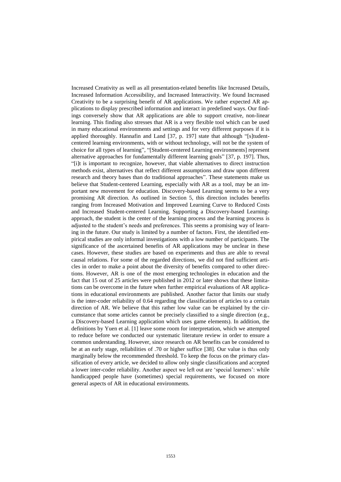Increased Creativity as well as all presentation-related benefits like Increased Details, Increased Information Accessibility, and Increased Interactivity. We found Increased Creativity to be a surprising benefit of AR applications. We rather expected AR applications to display prescribed information and interact in predefined ways. Our findings conversely show that AR applications are able to support creative, non-linear learning. This finding also stresses that AR is a very flexible tool which can be used in many educational environments and settings and for very different purposes if it is applied thoroughly. Hannafin and Land [37, p. 197] state that although "[s]tudentcentered learning environments, with or without technology, will not be the system of choice for all types of learning", "[Student-centered Learning environments] represent alternative approaches for fundamentally different learning goals" [37, p. 197]. Thus, "[i]t is important to recognize, however, that viable alternatives to direct instruction methods exist, alternatives that reflect different assumptions and draw upon different research and theory bases than do traditional approaches". These statements make us believe that Student-centered Learning, especially with AR as a tool, may be an important new movement for education. Discovery-based Learning seems to be a very promising AR direction. As outlined in Section 5, this direction includes benefits ranging from Increased Motivation and Improved Learning Curve to Reduced Costs and Increased Student-centered Learning. Supporting a Discovery-based Learningapproach, the student is the center of the learning process and the learning process is adjusted to the student's needs and preferences. This seems a promising way of learning in the future. Our study is limited by a number of factors. First, the identified empirical studies are only informal investigations with a low number of participants. The significance of the ascertained benefits of AR applications may be unclear in these cases. However, these studies are based on experiments and thus are able to reveal causal relations. For some of the regarded directions, we did not find sufficient articles in order to make a point about the diversity of benefits compared to other directions. However, AR is one of the most emerging technologies in education and the fact that 15 out of 25 articles were published in 2012 or later shows that these limitations can be overcome in the future when further empirical evaluations of AR applications in educational environments are published. Another factor that limits our study is the inter-coder reliability of 0.64 regarding the classification of articles to a certain direction of AR. We believe that this rather low value can be explained by the circumstance that some articles cannot be precisely classified to a single direction (e.g., a Discovery-based Learning application which uses game elements). In addition, the definitions by Yuen et al. [1] leave some room for interpretation, which we attempted to reduce before we conducted our systematic literature review in order to ensure a common understanding. However, since research on AR benefits can be considered to be at an early stage, reliabilities of .70 or higher suffice [38]. Our value is thus only marginally below the recommended threshold. To keep the focus on the primary classification of every article, we decided to allow only single classifications and accepted a lower inter-coder reliability. Another aspect we left out are 'special learners': while handicapped people have (sometimes) special requirements, we focused on more general aspects of AR in educational environments.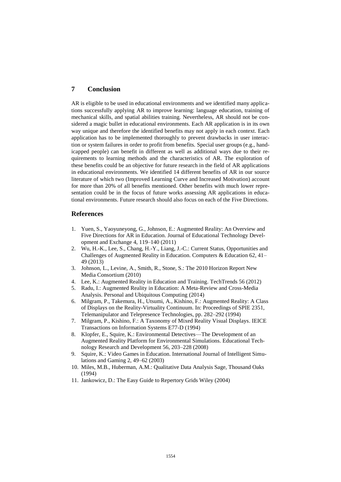# **7 Conclusion**

AR is eligible to be used in educational environments and we identified many applications successfully applying AR to improve learning: language education, training of mechanical skills, and spatial abilities training. Nevertheless, AR should not be considered a magic bullet in educational environments. Each AR application is in its own way unique and therefore the identified benefits may not apply in each context. Each application has to be implemented thoroughly to prevent drawbacks in user interaction or system failures in order to profit from benefits. Special user groups (e.g., handicapped people) can benefit in different as well as additional ways due to their requirements to learning methods and the characteristics of AR. The exploration of these benefits could be an objective for future research in the field of AR applications in educational environments. We identified 14 different benefits of AR in our source literature of which two (Improved Learning Curve and Increased Motivation) account for more than 20% of all benefits mentioned. Other benefits with much lower representation could be in the focus of future works assessing AR applications in educational environments. Future research should also focus on each of the Five Directions.

#### **References**

- 1. Yuen, S., Yaoyuneyong, G., Johnson, E.: Augmented Reality: An Overview and Five Directions for AR in Education. Journal of Educational Technology Development and Exchange 4, 119–140 (2011)
- 2. Wu, H.-K., Lee, S., Chang, H.-Y., Liang, J.-C.: Current Status, Opportunities and Challenges of Augmented Reality in Education. Computers & Education 62, 41– 49 (2013)
- 3. Johnson, L., Levine, A., Smith, R., Stone, S.: The 2010 Horizon Report New Media Consortium (2010)
- 4. Lee, K.: Augmented Reality in Education and Training. TechTrends 56 (2012)
- 5. Radu, I.: Augmented Reality in Education: A Meta-Review and Cross-Media Analysis. Personal and Ubiquitous Computing (2014)
- 6. Milgram, P., Takemura, H., Utsumi, A., Kishino, F.: Augmented Reality: A Class of Displays on the Reality-Virtuality Continuum. In: Proceedings of SPIE 2351, Telemanipulator and Telepresence Technologies, pp. 282–292 (1994)
- 7. Milgram, P., Kishino, F.: A Taxonomy of Mixed Reality Visual Displays. IEICE Transactions on Information Systems E77-D (1994)
- 8. Klopfer, E., Squire, K.: Environmental Detectives—The Development of an Augmented Reality Platform for Environmental Simulations. Educational Technology Research and Development 56, 203–228 (2008)
- 9. Squire, K.: Video Games in Education. International Journal of Intelligent Simulations and Gaming 2, 49–62 (2003)
- 10. Miles, M.B., Huberman, A.M.: Qualitative Data Analysis Sage, Thousand Oaks (1994)
- 11. Jankowicz, D.: The Easy Guide to Repertory Grids Wiley (2004)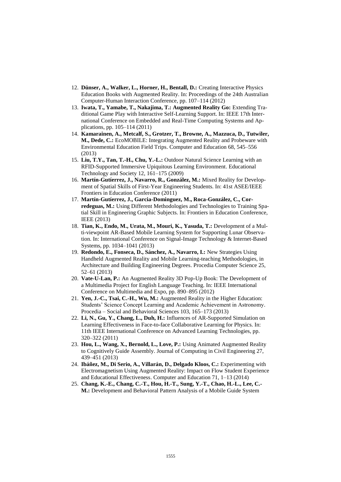- 12. **Dünser, A., Walker, L., Horner, H., Bentall, D.:** Creating Interactive Physics Education Books with Augmented Reality. In: Proceedings of the 24th Australian Computer-Human Interaction Conference, pp. 107–114 (2012)
- 13. **Iwata, T., Yamabe, T., Nakajima, T.: Augmented Reality Go:** Extending Traditional Game Play with Interactive Self-Learning Support. In: IEEE 17th International Conference on Embedded and Real-Time Computing Systems and Applications, pp. 105–114 (2011)
- 14. **Kamarainen, A., Metcalf, S., Grotzer, T., Browne, A., Mazzuca, D., Tutwiler, M., Dede, C.:** EcoMOBILE: Integrating Augmented Reality and Probeware with Environmental Education Field Trips. Computer and Education 68, 545–556 (2013)
- 15. **Liu, T.Y., Tan, T.-H., Chu, Y.-L.:** Outdoor Natural Science Learning with an RFID-Supported Immersive Upiquitous Learning Environment. Educational Technology and Society 12, 161–175 (2009)
- 16. **Martín-Gutíerrez, J., Navarro, R., González, M.:** Mixed Reality for Development of Spatial Skills of First-Year Engineering Students. In: 41st ASEE/IEEE Frontiers in Education Conference (2011)
- 17. **Martín-Gutíerrez, J., Garcia-Dominguez, M., Roca-González, C., Corredeguas, M.:** Using Different Methodologies and Technologies to Training Spatial Skill in Engineering Graphic Subjects. In: Frontiers in Education Conference, IEEE (2013)
- 18. **Tian, K., Endo, M., Urata, M., Mouri, K., Yasuda, T.:** Development of a Multi-viewpoint AR-Based Mobile Learning System for Supporting Lunar Observation. In: International Conference on Signal-Image Technology & Internet-Based Systems, pp. 1034–1041 (2013)
- 19. **Redondo, E., Fonseca, D., Sánchez, A., Navarro, I.:** New Strategies Using Handheld Augmented Reality and Mobile Learning-teaching Methodologies, in Architecture and Building Engineering Degrees. Procedia Computer Science 25, 52–61 (2013)
- 20. **Vate-U-Lan, P.:** An Augmented Reality 3D Pop-Up Book: The Development of a Multimedia Project for English Language Teaching. In: IEEE International Conference on Multimedia and Expo, pp. 890–895 (2012)
- 21. **Yen, J.-C., Tsai, C.-H., Wu, M.:** Augmented Reality in the Higher Education: Students' Science Concept Learning and Academic Achievement in Astronomy. Procedia – Social and Behavioral Sciences 103, 165–173 (2013)
- 22. **Li, N., Gu, Y., Chang, L., Duh, H.:** Influences of AR-Supported Simulation on Learning Effectiveness in Face-to-face Collaborative Learning for Physics. In: 11th IEEE International Conference on Advanced Learning Technologies, pp. 320–322 (2011)
- 23. **Hou, L., Wang, X., Bernold, L., Love, P.:** Using Animated Augmented Reality to Cognitively Guide Assembly. Journal of Computing in Civil Engineering 27, 439–451 (2013)
- 24. **Ibáñez, M., Di Serio, A., Villarán, D., Delgado Kloos, C.:** Experimenting with Electromagnetism Using Augmented Reality: Impact on Flow Student Experience and Educational Effectiveness. Computer and Education 71, 1–13 (2014)
- 25. **Chang, K.-E., Chang, C.-T., Hou, H.-T., Sung, Y.-T., Chao, H.-L., Lee, C.- M.:** Development and Behavioral Pattern Analysis of a Mobile Guide System